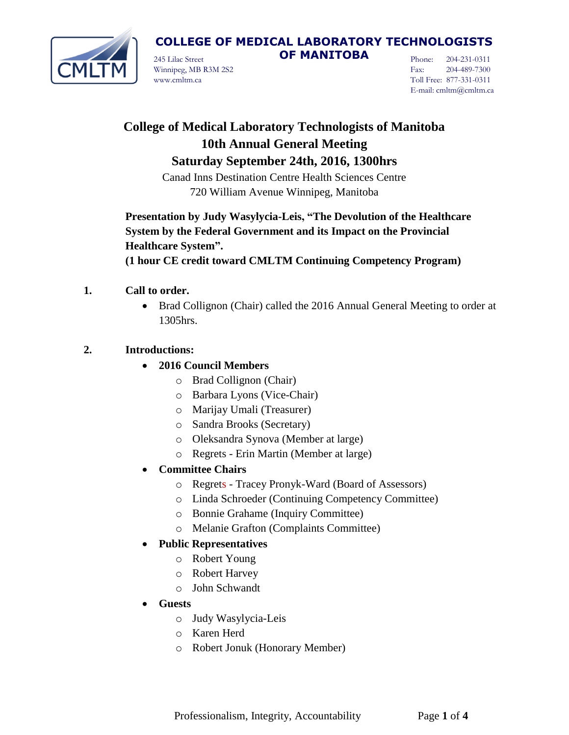

245 Lilac Street **OF MANITOBA** Winnipeg, MB R3M 2S2 www.cmltm.ca

Phone: 204-231-0311 Fax: 204-489-7300 Toll Free: 877-331-0311 E-mail: cmltm@cmltm.ca

# **College of Medical Laboratory Technologists of Manitoba 10th Annual General Meeting Saturday September 24th, 2016, 1300hrs**

Canad Inns Destination Centre Health Sciences Centre 720 William Avenue Winnipeg, Manitoba

**Presentation by Judy Wasylycia-Leis, "The Devolution of the Healthcare System by the Federal Government and its Impact on the Provincial Healthcare System".**

**(1 hour CE credit toward CMLTM Continuing Competency Program)**

- **1. Call to order.**
	- Brad Collignon (Chair) called the 2016 Annual General Meeting to order at 1305hrs.

## **2. Introductions:**

- **2016 Council Members**
	- o Brad Collignon (Chair)
	- o Barbara Lyons (Vice-Chair)
	- o Marijay Umali (Treasurer)
	- o Sandra Brooks (Secretary)
	- o Oleksandra Synova (Member at large)
	- o Regrets Erin Martin (Member at large)
- **Committee Chairs**
	- o Regrets Tracey Pronyk-Ward (Board of Assessors)
	- o Linda Schroeder (Continuing Competency Committee)
	- o Bonnie Grahame (Inquiry Committee)
	- o Melanie Grafton (Complaints Committee)

## **Public Representatives**

- o Robert Young
- o Robert Harvey
- o John Schwandt
- **Guests**
	- o Judy Wasylycia-Leis
	- o Karen Herd
	- o Robert Jonuk (Honorary Member)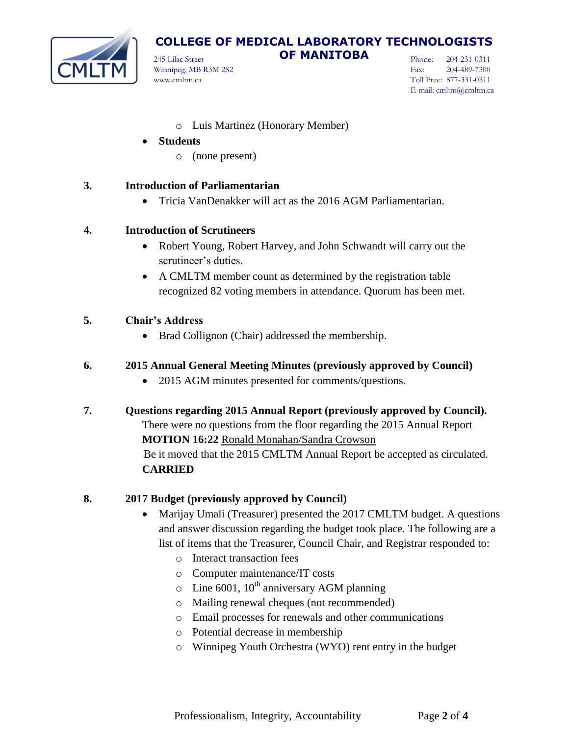

245 Lilac Street **OF MANITOBA** Winnipeg, MB R3M 2S2 www.cmltm.ca

Phone: 204-231-0311 Fax: 204-489-7300 Toll Free: 877-331-0311 E-mail: cmltm@cmltm.ca

- o Luis Martinez (Honorary Member)
- **Students**
	- o (none present)

#### **3. Introduction of Parliamentarian**

Tricia VanDenakker will act as the 2016 AGM Parliamentarian.

#### **4. Introduction of Scrutineers**

- Robert Young, Robert Harvey, and John Schwandt will carry out the scrutineer's duties.
- A CMLTM member count as determined by the registration table recognized 82 voting members in attendance. Quorum has been met.

#### **5. Chair's Address**

• Brad Collignon (Chair) addressed the membership.

### **6. 2015 Annual General Meeting Minutes (previously approved by Council)**

- 2015 AGM minutes presented for comments/questions.
- **7. Questions regarding 2015 Annual Report (previously approved by Council).** There were no questions from the floor regarding the 2015 Annual Report **MOTION 16:22** Ronald Monahan/Sandra Crowson Be it moved that the 2015 CMLTM Annual Report be accepted as circulated. **CARRIED**

#### **8. 2017 Budget (previously approved by Council)**

- Marijay Umali (Treasurer) presented the 2017 CMLTM budget. A questions and answer discussion regarding the budget took place. The following are a list of items that the Treasurer, Council Chair, and Registrar responded to:
	- o Interact transaction fees
	- o Computer maintenance/IT costs
	- $\circ$  Line 6001, 10<sup>th</sup> anniversary AGM planning
	- o Mailing renewal cheques (not recommended)
	- o Email processes for renewals and other communications
	- o Potential decrease in membership
	- o Winnipeg Youth Orchestra (WYO) rent entry in the budget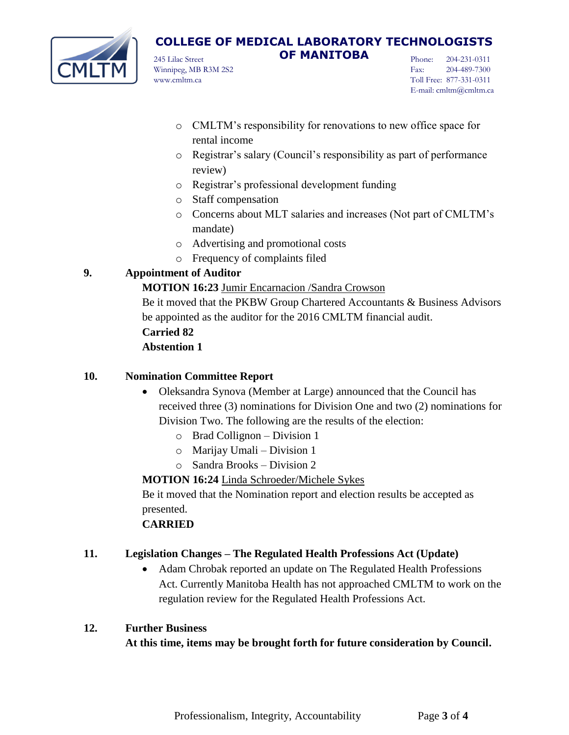

245 Lilac Street **OF MANITOBA** Winnipeg, MB R3M 2S2 www.cmltm.ca

Phone: 204-231-0311 Fax: 204-489-7300 Toll Free: 877-331-0311 E-mail: cmltm@cmltm.ca

- o CMLTM's responsibility for renovations to new office space for rental income
- o Registrar's salary (Council's responsibility as part of performance review)
- o Registrar's professional development funding
- o Staff compensation
- o Concerns about MLT salaries and increases (Not part of CMLTM's mandate)
- o Advertising and promotional costs
- o Frequency of complaints filed

## **9. Appointment of Auditor**

### **MOTION 16:23** Jumir Encarnacion /Sandra Crowson

Be it moved that the PKBW Group Chartered Accountants & Business Advisors be appointed as the auditor for the 2016 CMLTM financial audit.

## **Carried 82**

## **Abstention 1**

### **10. Nomination Committee Report**

- Oleksandra Synova (Member at Large) announced that the Council has received three (3) nominations for Division One and two (2) nominations for Division Two. The following are the results of the election:
	- o Brad Collignon Division 1
	- o Marijay Umali Division 1
	- o Sandra Brooks Division 2

**MOTION 16:24** Linda Schroeder/Michele Sykes

Be it moved that the Nomination report and election results be accepted as presented.

## **CARRIED**

## **11. Legislation Changes – The Regulated Health Professions Act (Update)**

• Adam Chrobak reported an update on The Regulated Health Professions Act. Currently Manitoba Health has not approached CMLTM to work on the regulation review for the Regulated Health Professions Act.

### **12. Further Business**

**At this time, items may be brought forth for future consideration by Council.**